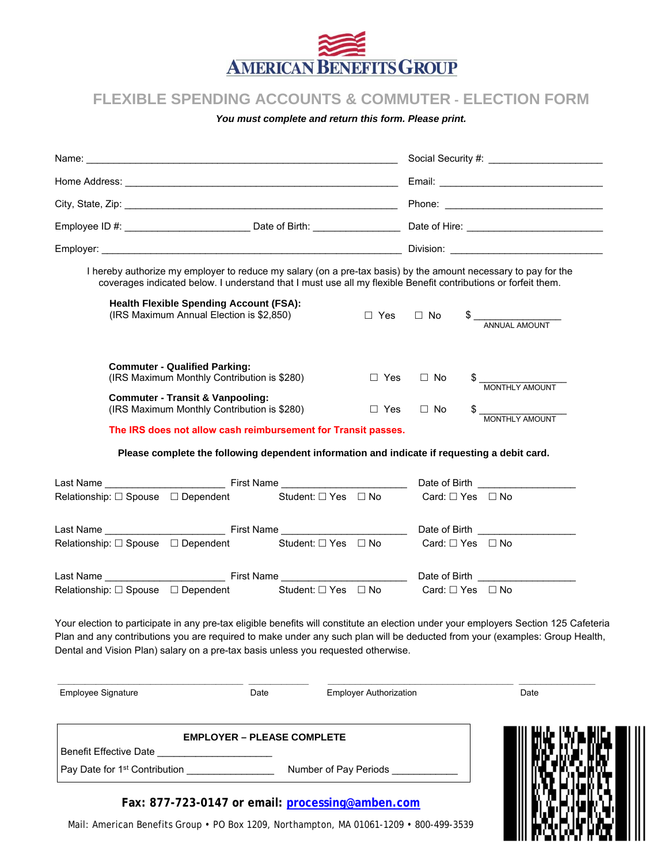

## **FLEXIBLE SPENDING ACCOUNTS & COMMUTER - ELECTION FORM**

*You must complete and return this form. Please print.* 

| $\Box$ Yes | $\Box$ No                                                                                                                                   | $\begin{array}{c}\n\text{\$} \quad \text{\_}\quad\text{\_}\quad\text{\_}\quad\text{\_}\quad\text{\_}\quad\text{\_}}\n\end{array}$                                                                                                                                                                                                                                                                                                                                                                                                                                                                                                                                                          |  |
|------------|---------------------------------------------------------------------------------------------------------------------------------------------|--------------------------------------------------------------------------------------------------------------------------------------------------------------------------------------------------------------------------------------------------------------------------------------------------------------------------------------------------------------------------------------------------------------------------------------------------------------------------------------------------------------------------------------------------------------------------------------------------------------------------------------------------------------------------------------------|--|
| $\Box$ Yes | $\Box$ No                                                                                                                                   |                                                                                                                                                                                                                                                                                                                                                                                                                                                                                                                                                                                                                                                                                            |  |
| $\Box$ Yes | $\Box$ No                                                                                                                                   | MONTHLY AMOUNT                                                                                                                                                                                                                                                                                                                                                                                                                                                                                                                                                                                                                                                                             |  |
|            |                                                                                                                                             |                                                                                                                                                                                                                                                                                                                                                                                                                                                                                                                                                                                                                                                                                            |  |
|            |                                                                                                                                             |                                                                                                                                                                                                                                                                                                                                                                                                                                                                                                                                                                                                                                                                                            |  |
|            |                                                                                                                                             | Date of Birth __________________                                                                                                                                                                                                                                                                                                                                                                                                                                                                                                                                                                                                                                                           |  |
|            |                                                                                                                                             | Card: □ Yes □ No                                                                                                                                                                                                                                                                                                                                                                                                                                                                                                                                                                                                                                                                           |  |
|            |                                                                                                                                             | Date of Birth ____________________                                                                                                                                                                                                                                                                                                                                                                                                                                                                                                                                                                                                                                                         |  |
|            |                                                                                                                                             | Card: $\Box$ Yes $\Box$ No                                                                                                                                                                                                                                                                                                                                                                                                                                                                                                                                                                                                                                                                 |  |
|            |                                                                                                                                             | Date of Birth <b>Exercise Servers</b>                                                                                                                                                                                                                                                                                                                                                                                                                                                                                                                                                                                                                                                      |  |
|            |                                                                                                                                             |                                                                                                                                                                                                                                                                                                                                                                                                                                                                                                                                                                                                                                                                                            |  |
|            |                                                                                                                                             | Your election to participate in any pre-tax eligible benefits will constitute an election under your employers Section 125 Cafeteria                                                                                                                                                                                                                                                                                                                                                                                                                                                                                                                                                       |  |
|            |                                                                                                                                             | Date                                                                                                                                                                                                                                                                                                                                                                                                                                                                                                                                                                                                                                                                                       |  |
|            |                                                                                                                                             |                                                                                                                                                                                                                                                                                                                                                                                                                                                                                                                                                                                                                                                                                            |  |
|            |                                                                                                                                             |                                                                                                                                                                                                                                                                                                                                                                                                                                                                                                                                                                                                                                                                                            |  |
|            | Student: □ Yes □ No<br>Student: $\Box$ Yes $\Box$ No<br>Student: □ Yes □ No<br><b>EMPLOYER - PLEASE COMPLETE</b><br>Number of Pay Periods _ | I hereby authorize my employer to reduce my salary (on a pre-tax basis) by the amount necessary to pay for the<br>coverages indicated below. I understand that I must use all my flexible Benefit contributions or forfeit them.<br>The IRS does not allow cash reimbursement for Transit passes.<br>Please complete the following dependent information and indicate if requesting a debit card.<br>Card: $\square$ Yes $\square$ No<br>Plan and any contributions you are required to make under any such plan will be deducted from your (examples: Group Health,<br>Dental and Vision Plan) salary on a pre-tax basis unless you requested otherwise.<br><b>Employer Authorization</b> |  |

**Fax: 877-723-0147 or email: processing@amben.com**

Mail: American Benefits Group • PO Box 1209, Northampton, MA 01061-1209 • 800-499-3539